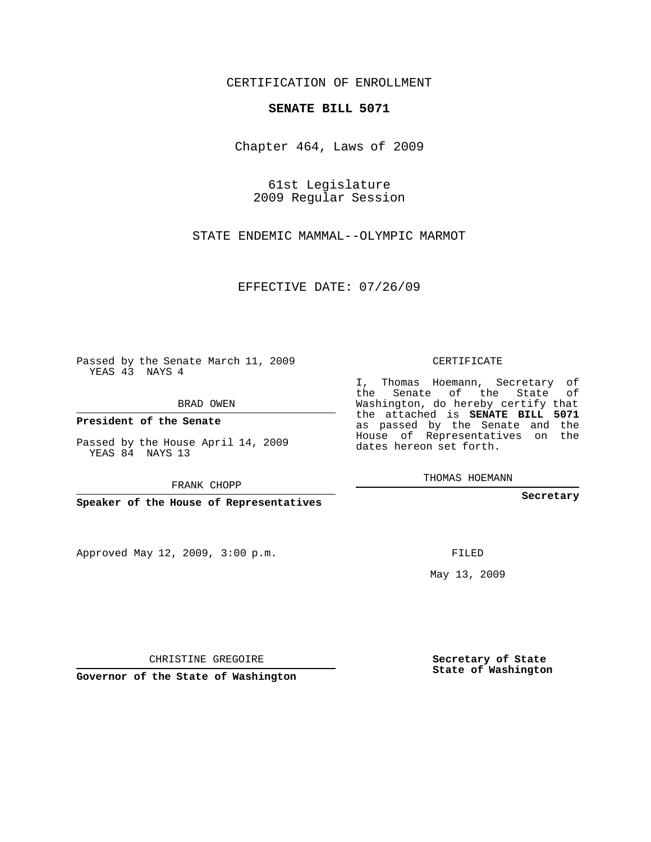## CERTIFICATION OF ENROLLMENT

## **SENATE BILL 5071**

Chapter 464, Laws of 2009

61st Legislature 2009 Regular Session

STATE ENDEMIC MAMMAL--OLYMPIC MARMOT

EFFECTIVE DATE: 07/26/09

Passed by the Senate March 11, 2009 YEAS 43 NAYS 4

BRAD OWEN

**President of the Senate**

Passed by the House April 14, 2009 YEAS 84 NAYS 13

FRANK CHOPP

**Speaker of the House of Representatives**

Approved May 12, 2009, 3:00 p.m.

CERTIFICATE

I, Thomas Hoemann, Secretary of the Senate of the State of Washington, do hereby certify that the attached is **SENATE BILL 5071** as passed by the Senate and the House of Representatives on the dates hereon set forth.

THOMAS HOEMANN

**Secretary**

FILED

May 13, 2009

**Secretary of State State of Washington**

CHRISTINE GREGOIRE

**Governor of the State of Washington**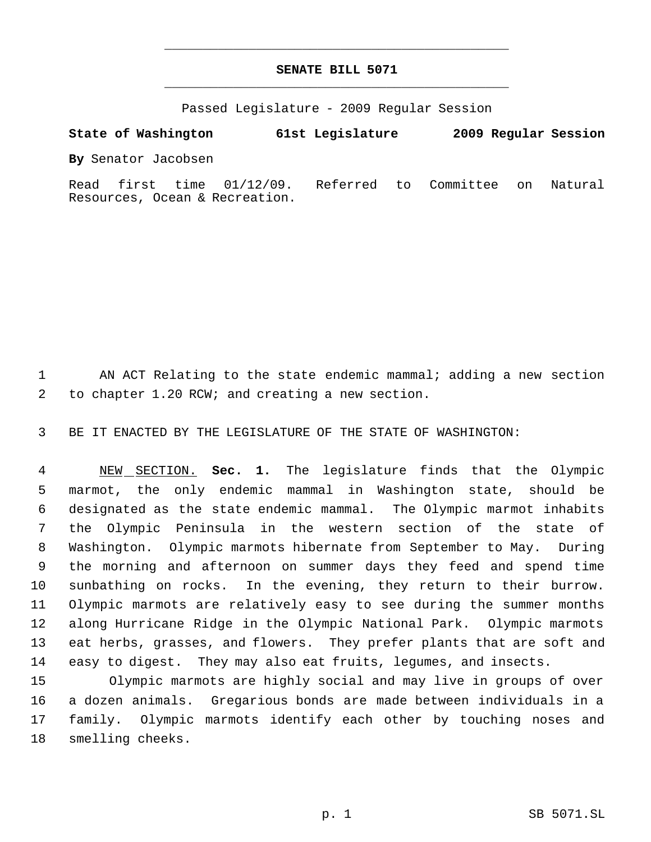## **SENATE BILL 5071** \_\_\_\_\_\_\_\_\_\_\_\_\_\_\_\_\_\_\_\_\_\_\_\_\_\_\_\_\_\_\_\_\_\_\_\_\_\_\_\_\_\_\_\_\_

\_\_\_\_\_\_\_\_\_\_\_\_\_\_\_\_\_\_\_\_\_\_\_\_\_\_\_\_\_\_\_\_\_\_\_\_\_\_\_\_\_\_\_\_\_

Passed Legislature - 2009 Regular Session

## **State of Washington 61st Legislature 2009 Regular Session**

**By** Senator Jacobsen

Read first time 01/12/09. Referred to Committee on Natural Resources, Ocean & Recreation.

 AN ACT Relating to the state endemic mammal; adding a new section to chapter 1.20 RCW; and creating a new section.

BE IT ENACTED BY THE LEGISLATURE OF THE STATE OF WASHINGTON:

 NEW SECTION. **Sec. 1.** The legislature finds that the Olympic marmot, the only endemic mammal in Washington state, should be designated as the state endemic mammal. The Olympic marmot inhabits the Olympic Peninsula in the western section of the state of Washington. Olympic marmots hibernate from September to May. During the morning and afternoon on summer days they feed and spend time sunbathing on rocks. In the evening, they return to their burrow. Olympic marmots are relatively easy to see during the summer months along Hurricane Ridge in the Olympic National Park. Olympic marmots eat herbs, grasses, and flowers. They prefer plants that are soft and easy to digest. They may also eat fruits, legumes, and insects.

15 Olympic marmots are highly social and may live in groups of over a dozen animals. Gregarious bonds are made between individuals in a family. Olympic marmots identify each other by touching noses and smelling cheeks.